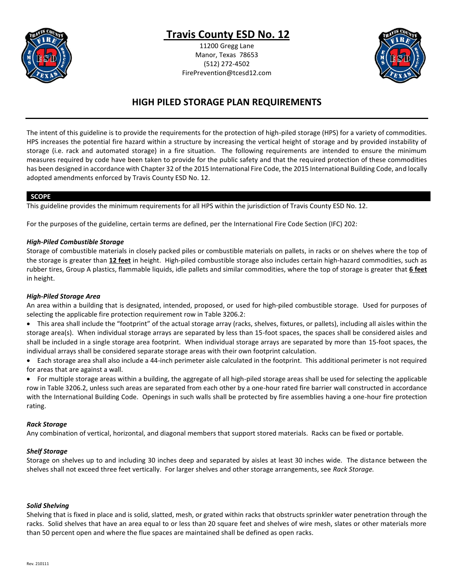

### **Travis County ESD No. 12**

11200 Gregg Lane Manor, Texas 78653 (512) 272-4502 FirePrevention@tcesd12.com



### **HIGH PILED STORAGE PLAN REQUIREMENTS**

The intent of this guideline is to provide the requirements for the protection of high-piled storage (HPS) for a variety of commodities. HPS increases the potential fire hazard within a structure by increasing the vertical height of storage and by provided instability of storage (i.e. rack and automated storage) in a fire situation. The following requirements are intended to ensure the minimum measures required by code have been taken to provide for the public safety and that the required protection of these commodities has been designed in accordance with Chapter 32 of the 2015 International Fire Code, the 2015 International Building Code, and locally adopted amendments enforced by Travis County ESD No. 12.

#### **SCOPE**

This guideline provides the minimum requirements for all HPS within the jurisdiction of Travis County ESD No. 12.

For the purposes of the guideline, certain terms are defined, per the International Fire Code Section (IFC) 202:

#### *High-Piled Combustible Storage*

Storage of combustible materials in closely packed piles or combustible materials on pallets, in racks or on shelves where the top of the storage is greater than **12 feet** in height. High-piled combustible storage also includes certain high-hazard commodities, such as rubber tires, Group A plastics, flammable liquids, idle pallets and similar commodities, where the top of storage is greater that **6 feet** in height.

#### *High-Piled Storage Area*

An area within a building that is designated, intended, proposed, or used for high-piled combustible storage. Used for purposes of selecting the applicable fire protection requirement row in Table 3206.2:

- This area shall include the "footprint" of the actual storage array (racks, shelves, fixtures, or pallets), including all aisles within the storage area(s). When individual storage arrays are separated by less than 15-foot spaces, the spaces shall be considered aisles and shall be included in a single storage area footprint. When individual storage arrays are separated by more than 15-foot spaces, the individual arrays shall be considered separate storage areas with their own footprint calculation.
- Each storage area shall also include a 44-inch perimeter aisle calculated in the footprint. This additional perimeter is not required for areas that are against a wall.

• For multiple storage areas within a building, the aggregate of all high-piled storage areas shall be used for selecting the applicable row in Table 3206.2, unless such areas are separated from each other by a one-hour rated fire barrier wall constructed in accordance with the International Building Code. Openings in such walls shall be protected by fire assemblies having a one-hour fire protection rating.

#### *Rack Storage*

Any combination of vertical, horizontal, and diagonal members that support stored materials. Racks can be fixed or portable.

#### *Shelf Storage*

Storage on shelves up to and including 30 inches deep and separated by aisles at least 30 inches wide. The distance between the shelves shall not exceed three feet vertically. For larger shelves and other storage arrangements, see *Rack Storage.*

#### *Solid Shelving*

Shelving that is fixed in place and is solid, slatted, mesh, or grated within racks that obstructs sprinkler water penetration through the racks. Solid shelves that have an area equal to or less than 20 square feet and shelves of wire mesh, slates or other materials more than 50 percent open and where the flue spaces are maintained shall be defined as open racks.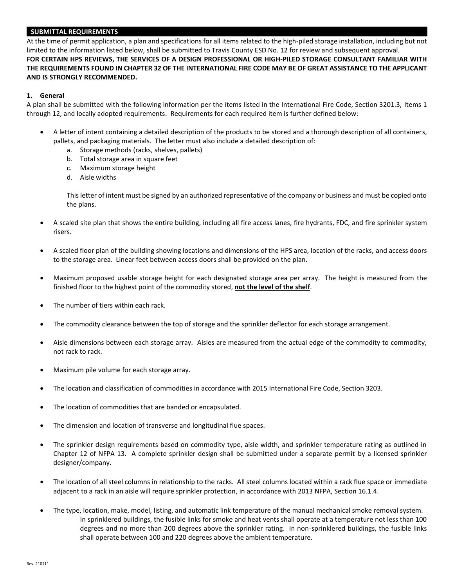#### **SUBMITTAL REQUIREMENTS**

At the time of permit application, a plan and specifications for all items related to the high-piled storage installation, including but not limited to the information listed below, shall be submitted to Travis County ESD No. 12 for review and subsequent approval. **FOR CERTAIN HPS REVIEWS, THE SERVICES OF A DESIGN PROFESSIONAL OR HIGH-PILED STORAGE CONSULTANT FAMILIAR WITH THE REQUIREMENTS FOUND IN CHAPTER 32 OF THE INTERNATIONAL FIRE CODE MAY BE OF GREAT ASSISTANCE TO THE APPLICANT AND IS STRONGLY RECOMMENDED.**

#### **1. General**

A plan shall be submitted with the following information per the items listed in the International Fire Code, Section 3201.3, Items 1 through 12, and locally adopted requirements. Requirements for each required item is further defined below:

- A letter of intent containing a detailed description of the products to be stored and a thorough description of all containers, pallets, and packaging materials. The letter must also include a detailed description of:
	- a. Storage methods (racks, shelves, pallets)
	- b. Total storage area in square feet
	- c. Maximum storage height
	- d. Aisle widths

This letter of intent must be signed by an authorized representative of the company or business and must be copied onto the plans.

- A scaled site plan that shows the entire building, including all fire access lanes, fire hydrants, FDC, and fire sprinkler system risers.
- A scaled floor plan of the building showing locations and dimensions of the HPS area, location of the racks, and access doors to the storage area. Linear feet between access doors shall be provided on the plan.
- Maximum proposed usable storage height for each designated storage area per array. The height is measured from the finished floor to the highest point of the commodity stored, **not the level of the shelf**.
- The number of tiers within each rack.
- The commodity clearance between the top of storage and the sprinkler deflector for each storage arrangement.
- Aisle dimensions between each storage array. Aisles are measured from the actual edge of the commodity to commodity, not rack to rack.
- Maximum pile volume for each storage array.
- The location and classification of commodities in accordance with 2015 International Fire Code, Section 3203.
- The location of commodities that are banded or encapsulated.
- The dimension and location of transverse and longitudinal flue spaces.
- The sprinkler design requirements based on commodity type, aisle width, and sprinkler temperature rating as outlined in Chapter 12 of NFPA 13. A complete sprinkler design shall be submitted under a separate permit by a licensed sprinkler designer/company.
- The location of all steel columns in relationship to the racks. All steel columns located within a rack flue space or immediate adjacent to a rack in an aisle will require sprinkler protection, in accordance with 2013 NFPA, Section 16.1.4.
- The type, location, make, model, listing, and automatic link temperature of the manual mechanical smoke removal system. In sprinklered buildings, the fusible links for smoke and heat vents shall operate at a temperature not less than 100 degrees and no more than 200 degrees above the sprinkler rating. In non-sprinklered buildings, the fusible links shall operate between 100 and 220 degrees above the ambient temperature.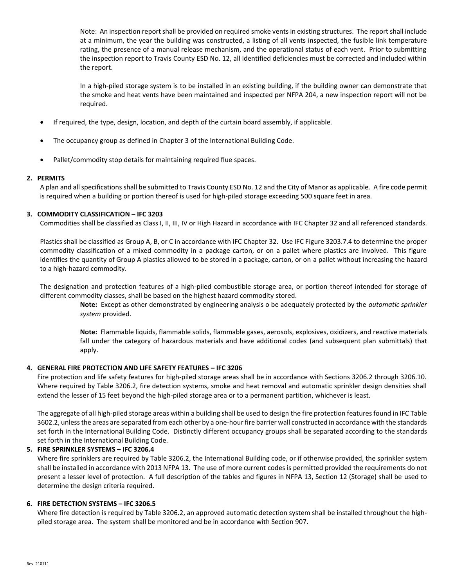Note: An inspection report shall be provided on required smoke vents in existing structures. The report shall include at a minimum, the year the building was constructed, a listing of all vents inspected, the fusible link temperature rating, the presence of a manual release mechanism, and the operational status of each vent. Prior to submitting the inspection report to Travis County ESD No. 12, all identified deficiencies must be corrected and included within the report.

In a high-piled storage system is to be installed in an existing building, if the building owner can demonstrate that the smoke and heat vents have been maintained and inspected per NFPA 204, a new inspection report will not be required.

- If required, the type, design, location, and depth of the curtain board assembly, if applicable.
- The occupancy group as defined in Chapter 3 of the International Building Code.
- Pallet/commodity stop details for maintaining required flue spaces.

#### **2. PERMITS**

A plan and all specifications shall be submitted to Travis County ESD No. 12 and the City of Manor as applicable. A fire code permit is required when a building or portion thereof is used for high-piled storage exceeding 500 square feet in area.

#### **3. COMMODITY CLASSIFICATION – IFC 3203**

Commodities shall be classified as Class I, II, III, IV or High Hazard in accordance with IFC Chapter 32 and all referenced standards.

Plastics shall be classified as Group A, B, or C in accordance with IFC Chapter 32. Use IFC Figure 3203.7.4 to determine the proper commodity classification of a mixed commodity in a package carton, or on a pallet where plastics are involved. This figure identifies the quantity of Group A plastics allowed to be stored in a package, carton, or on a pallet without increasing the hazard to a high-hazard commodity.

The designation and protection features of a high-piled combustible storage area, or portion thereof intended for storage of different commodity classes, shall be based on the highest hazard commodity stored.

**Note:** Except as other demonstrated by engineering analysis o be adequately protected by the *automatic sprinkler system* provided.

**Note:** Flammable liquids, flammable solids, flammable gases, aerosols, explosives, oxidizers, and reactive materials fall under the category of hazardous materials and have additional codes (and subsequent plan submittals) that apply.

#### **4. GENERAL FIRE PROTECTION AND LIFE SAFETY FEATURES – IFC 3206**

Fire protection and life safety features for high-piled storage areas shall be in accordance with Sections 3206.2 through 3206.10. Where required by Table 3206.2, fire detection systems, smoke and heat removal and automatic sprinkler design densities shall extend the lesser of 15 feet beyond the high-piled storage area or to a permanent partition, whichever is least.

The aggregate of all high-piled storage areas within a building shall be used to design the fire protection features found in IFC Table 3602.2, unless the areas are separated from each other by a one-hour fire barrier wall constructed in accordance with the standards set forth in the International Building Code. Distinctly different occupancy groups shall be separated according to the standards set forth in the International Building Code.

#### **5. FIRE SPRINKLER SYSTEMS – IFC 3206.4**

Where fire sprinklers are required by Table 3206.2, the International Building code, or if otherwise provided, the sprinkler system shall be installed in accordance with 2013 NFPA 13. The use of more current codes is permitted provided the requirements do not present a lesser level of protection. A full description of the tables and figures in NFPA 13, Section 12 (Storage) shall be used to determine the design criteria required.

#### **6. FIRE DETECTION SYSTEMS – IFC 3206.5**

Where fire detection is required by Table 3206.2, an approved automatic detection system shall be installed throughout the highpiled storage area. The system shall be monitored and be in accordance with Section 907.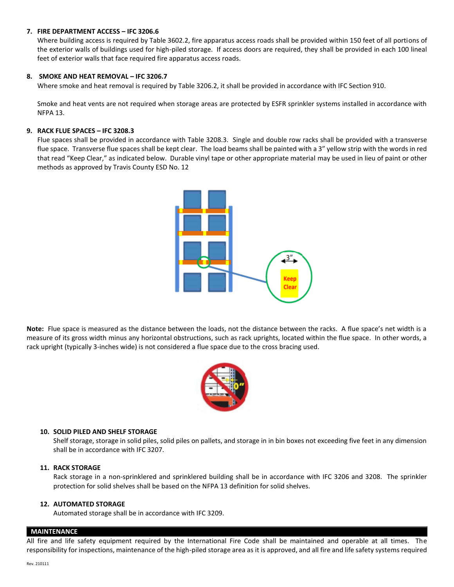#### **7. FIRE DEPARTMENT ACCESS – IFC 3206.6**

Where building access is required by Table 3602.2, fire apparatus access roads shall be provided within 150 feet of all portions of the exterior walls of buildings used for high-piled storage. If access doors are required, they shall be provided in each 100 lineal feet of exterior walls that face required fire apparatus access roads.

#### **8. SMOKE AND HEAT REMOVAL – IFC 3206.7**

Where smoke and heat removal is required by Table 3206.2, it shall be provided in accordance with IFC Section 910.

Smoke and heat vents are not required when storage areas are protected by ESFR sprinkler systems installed in accordance with NFPA 13.

#### **9. RACK FLUE SPACES – IFC 3208.3**

Flue spaces shall be provided in accordance with Table 3208.3. Single and double row racks shall be provided with a transverse flue space. Transverse flue spaces shall be kept clear. The load beams shall be painted with a 3" yellow strip with the words in red that read "Keep Clear," as indicated below. Durable vinyl tape or other appropriate material may be used in lieu of paint or other methods as approved by Travis County ESD No. 12



**Note:** Flue space is measured as the distance between the loads, not the distance between the racks. A flue space's net width is a measure of its gross width minus any horizontal obstructions, such as rack uprights, located within the flue space. In other words, a rack upright (typically 3-inches wide) is not considered a flue space due to the cross bracing used.



#### **10. SOLID PILED AND SHELF STORAGE**

Shelf storage, storage in solid piles, solid piles on pallets, and storage in in bin boxes not exceeding five feet in any dimension shall be in accordance with IFC 3207.

#### **11. RACK STORAGE**

Rack storage in a non-sprinklered and sprinklered building shall be in accordance with IFC 3206 and 3208. The sprinkler protection for solid shelves shall be based on the NFPA 13 definition for solid shelves.

#### **12. AUTOMATED STORAGE**

Automated storage shall be in accordance with IFC 3209.

#### **MAINTENANCE**

All fire and life safety equipment required by the International Fire Code shall be maintained and operable at all times. The responsibility for inspections, maintenance of the high-piled storage area as it is approved, and all fire and life safety systems required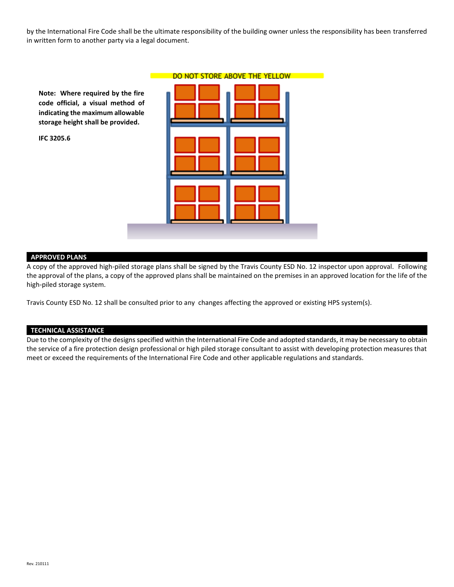by the International Fire Code shall be the ultimate responsibility of the building owner unless the responsibility has been transferred in written form to another party via a legal document.

**Note: Where required by the fire code official, a visual method of indicating the maximum allowable storage height shall be provided.** 

**IFC 3205.6**

|  | DO NOT STORE ABOVE THE YELLOW |  |
|--|-------------------------------|--|
|  |                               |  |
|  |                               |  |

#### **APPROVED PLANS**

A copy of the approved high-piled storage plans shall be signed by the Travis County ESD No. 12 inspector upon approval. Following the approval of the plans, a copy of the approved plans shall be maintained on the premises in an approved location for the life of the high-piled storage system.

Travis County ESD No. 12 shall be consulted prior to any changes affecting the approved or existing HPS system(s).

#### **TECHNICAL ASSISTANCE**

Due to the complexity of the designs specified within the International Fire Code and adopted standards, it may be necessary to obtain the service of a fire protection design professional or high piled storage consultant to assist with developing protection measures that meet or exceed the requirements of the International Fire Code and other applicable regulations and standards.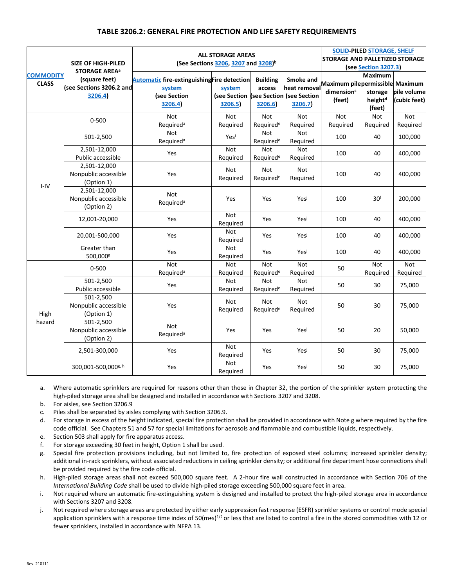#### **TABLE 3206.2: GENERAL FIRE PROTECTION AND LIFE SAFETY REQUIREMENTS**

|                                  | <b>SIZE OF HIGH-PILED</b><br><b>STORAGE AREA<sup>a</sup></b> | <b>ALL STORAGE AREAS</b><br>(See Sections 3206, 3207 and 3208) <sup>b</sup>             |                                                             |                                     |                                      | <b>SOLID-PILED STORAGE, SHELF</b><br><b>STORAGE AND PALLETIZED STORAGE</b><br>(see Section 3207.3) |                                                            |                             |
|----------------------------------|--------------------------------------------------------------|-----------------------------------------------------------------------------------------|-------------------------------------------------------------|-------------------------------------|--------------------------------------|----------------------------------------------------------------------------------------------------|------------------------------------------------------------|-----------------------------|
| <b>COMMODITY</b><br><b>CLASS</b> | (square feet)<br>(see Sections 3206.2 and<br>3206.4)         | <b>Automatic fire-extinguishing Fire detection</b><br>system<br>(see Section<br>3206.4) | system<br>(see Section (see Section (see Section<br>3206.5) | <b>Building</b><br>access<br>3206.6 | Smoke and<br>heat removal<br>3206.7) | Maximum pilepermissible Maximum<br>dimension <sup>c</sup><br>(feet)                                | <b>Maximum</b><br>storage<br>height <sup>d</sup><br>(feet) | pile volume<br>(cubic feet) |
| $I - IV$                         | $0 - 500$                                                    | Not<br>Required <sup>a</sup>                                                            | Not<br>Required                                             | <b>Not</b><br>Required <sup>e</sup> | <b>Not</b><br>Required               | <b>Not</b><br>Required                                                                             | Not<br>Required                                            | <b>Not</b><br>Required      |
|                                  | 501-2,500                                                    | Not<br>Required <sup>a</sup>                                                            | Yesi                                                        | <b>Not</b><br>Required <sup>e</sup> | <b>Not</b><br>Required               | 100                                                                                                | 40                                                         | 100,000                     |
|                                  | 2,501-12,000<br>Public accessible                            | Yes                                                                                     | Not<br>Required                                             | Not<br>Required <sup>e</sup>        | <b>Not</b><br>Required               | 100                                                                                                | 40                                                         | 400,000                     |
|                                  | 2,501-12,000<br>Nonpublic accessible<br>(Option 1)           | Yes                                                                                     | Not<br>Required                                             | Not<br>Required <sup>e</sup>        | Not<br>Required                      | 100                                                                                                | 40                                                         | 400,000                     |
|                                  | 2,501-12,000<br>Nonpublic accessible<br>(Option 2)           | <b>Not</b><br>Required <sup>a</sup>                                                     | Yes                                                         | Yes                                 | Yesi                                 | 100                                                                                                | 30 <sup>f</sup>                                            | 200,000                     |
|                                  | 12,001-20,000                                                | Yes                                                                                     | Not<br>Required                                             | Yes                                 | Yesi                                 | 100                                                                                                | 40                                                         | 400,000                     |
|                                  | 20,001-500,000                                               | Yes                                                                                     | Not<br>Required                                             | Yes                                 | Yesi                                 | 100                                                                                                | 40                                                         | 400,000                     |
|                                  | Greater than<br>500,000g                                     | Yes                                                                                     | <b>Not</b><br>Required                                      | Yes                                 | Yesi                                 | 100                                                                                                | 40                                                         | 400,000                     |
| High<br>hazard                   | $0 - 500$                                                    | Not<br>Required <sup>a</sup>                                                            | Not<br>Required                                             | Not<br>Required <sup>e</sup>        | <b>Not</b><br>Required               | 50                                                                                                 | Not<br>Required                                            | <b>Not</b><br>Required      |
|                                  | 501-2,500<br>Public accessible                               | <b>Yes</b>                                                                              | <b>Not</b><br>Required                                      | <b>Not</b><br>Required <sup>e</sup> | <b>Not</b><br>Required               | 50                                                                                                 | 30                                                         | 75,000                      |
|                                  | 501-2,500<br>Nonpublic accessible<br>(Option 1)              | Yes                                                                                     | Not<br>Required                                             | Not<br>Required <sup>e</sup>        | Not<br>Required                      | 50                                                                                                 | 30                                                         | 75,000                      |
|                                  | 501-2,500<br>Nonpublic accessible<br>(Option 2)              | <b>Not</b><br>Required <sup>a</sup>                                                     | Yes                                                         | Yes                                 | Yesi                                 | 50                                                                                                 | 20                                                         | 50,000                      |
|                                  | 2,501-300,000                                                | Yes                                                                                     | Not<br>Required                                             | Yes                                 | Yesi                                 | 50                                                                                                 | 30                                                         | 75,000                      |
|                                  | 300,001-500,000g, h                                          | Yes                                                                                     | Not<br>Required                                             | Yes                                 | Yesi                                 | 50                                                                                                 | 30                                                         | 75,000                      |

a. Where automatic sprinklers are required for reasons other than those in Chapter 32, the portion of the sprinkler system protecting the high-piled storage area shall be designed and installed in accordance with Sections 3207 and 3208.

- b. For aisles, see Section 3206.9
- c. Piles shall be separated by aisles complying with Section 3206.9.

d. For storage in excess of the height indicated, special fire protection shall be provided in accordance with Note g where required by the fire code official. See Chapters 51 and 57 for special limitations for aerosols and flammable and combustible liquids, respectively.

- e. Section 503 shall apply for fire apparatus access.
- f. For storage exceeding 30 feet in height, Option 1 shall be used.
- g. Special fire protection provisions including, but not limited to, fire protection of exposed steel columns; increased sprinkler density; additional in-rack sprinklers, without associated reductions in ceiling sprinkler density; or additional fire department hose connections shall be provided required by the fire code official.
- h. High-piled storage areas shall not exceed 500,000 square feet. A 2-hour fire wall constructed in accordance with Section 706 of the *International Building Code* shall be used to divide high-piled storage exceeding 500,000 square feet in area.
- i. Not required where an automatic fire-extinguishing system is designed and installed to protect the high-piled storage area in accordance with Sections 3207 and 3208.
- j. Not required where storage areas are protected by either early suppression fast response (ESFR) sprinkler systems or control mode special application sprinklers with a response time index of 50(m•s) $^{1/2}$  or less that are listed to control a fire in the stored commodities with 12 or fewer sprinklers, installed in accordance with NFPA 13.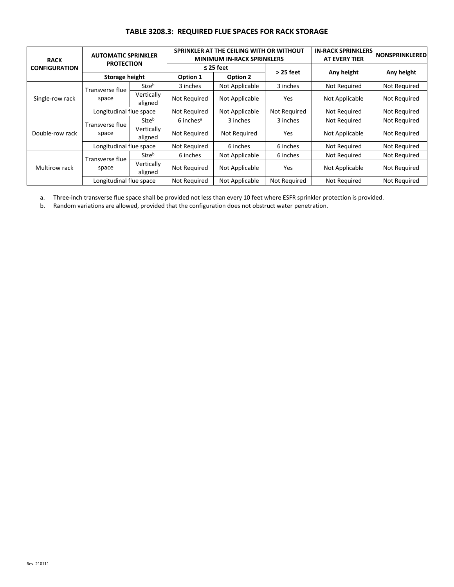#### **TABLE 3208.3: REQUIRED FLUE SPACES FOR RACK STORAGE**

| <b>RACK</b><br><b>CONFIGURATION</b> | <b>AUTOMATIC SPRINKLER</b><br><b>PROTECTION</b> |                       | SPRINKLER AT THE CEILING WITH OR WITHOUT<br><b>MINIMUM IN-RACK SPRINKLERS</b> |                     |                     | <b>IN-RACK SPRINKLERS</b><br><b>AT EVERY TIER</b> | <b>NONSPRINKLERED</b> |
|-------------------------------------|-------------------------------------------------|-----------------------|-------------------------------------------------------------------------------|---------------------|---------------------|---------------------------------------------------|-----------------------|
|                                     |                                                 |                       | $\leq$ 25 feet                                                                |                     | $>$ 25 feet         |                                                   | Any height            |
|                                     | <b>Storage height</b>                           |                       | Option 1                                                                      | Option 2            |                     | Any height                                        |                       |
| Single-row rack                     | Transverse flue<br>space                        | Sizeb                 | 3 inches                                                                      | Not Applicable      | 3 inches            | Not Required                                      | Not Required          |
|                                     |                                                 | Vertically<br>aligned | Not Required                                                                  | Not Applicable      | Yes                 | Not Applicable                                    | <b>Not Required</b>   |
|                                     | Longitudinal flue space                         |                       | Not Required                                                                  | Not Applicable      | Not Required        | Not Required                                      | Not Required          |
| Double-row rack                     | Transverse flue<br>space                        | Sizeb                 | $6$ inches <sup>a</sup>                                                       | 3 inches            | 3 inches            | Not Required                                      | Not Required          |
|                                     |                                                 | Vertically<br>aligned | Not Required                                                                  | <b>Not Required</b> | Yes                 | Not Applicable                                    | <b>Not Required</b>   |
|                                     | Longitudinal flue space                         |                       | Not Required                                                                  | 6 inches            | 6 inches            | Not Required                                      | Not Required          |
| Multirow rack                       | Transverse flue<br>space                        | Sizeb                 | 6 inches                                                                      | Not Applicable      | 6 inches            | Not Required                                      | <b>Not Required</b>   |
|                                     |                                                 | Vertically<br>aligned | Not Required                                                                  | Not Applicable      | <b>Yes</b>          | Not Applicable                                    | Not Required          |
|                                     | Longitudinal flue space                         |                       | Not Required                                                                  | Not Applicable      | <b>Not Required</b> | Not Required                                      | Not Required          |

a. Three-inch transverse flue space shall be provided not less than every 10 feet where ESFR sprinkler protection is provided.

b. Random variations are allowed, provided that the configuration does not obstruct water penetration.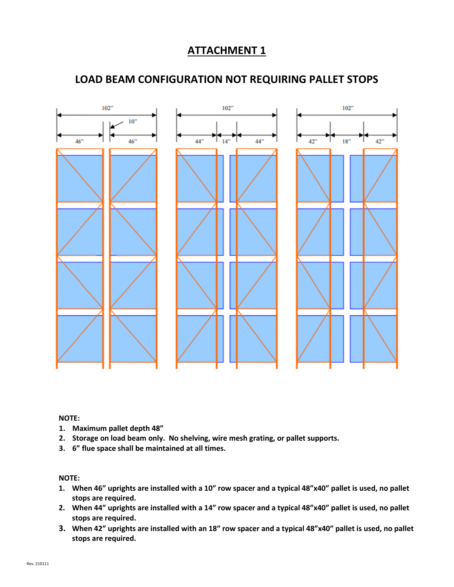# $102"$  $102"$  $102"$  $10<sup>o</sup>$ 44"  $46"$  $46"$ 44"  $14"$  $42"$  $18"$ 42"

### **LOAD BEAM CONFIGURATION NOT REQUIRING PALLET STOPS**

#### **NOTE:**

- **1. Maximum pallet depth 48"**
- **2. Storage on load beam only. No shelving, wire mesh grating, or pallet supports.**
- **3. 6" flue space shall be maintained at all times.**

#### **NOTE:**

- **1. When 46" uprights are installed with a 10" row spacer and a typical 48"x40" pallet is used, no pallet stops are required.**
- **2. When 44" uprights are installed with a 14" row spacer and a typical 48"x40" pallet is used, no pallet stops are required.**
- **3. When 42" uprights are installed with an 18" row spacer and a typical 48"x40" pallet is used, no pallet stops are required.**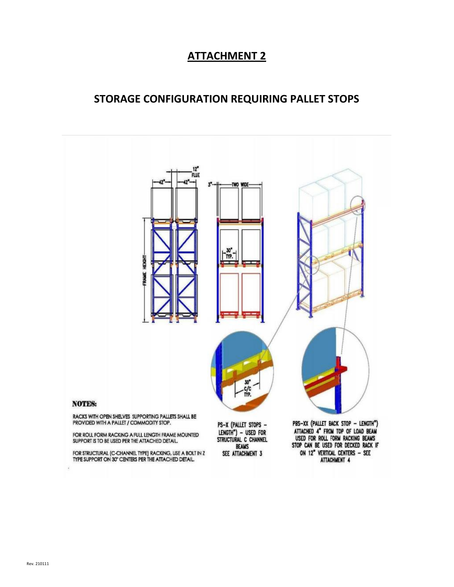### **STORAGE CONFIGURATION REQUIRING PALLET STOPS**

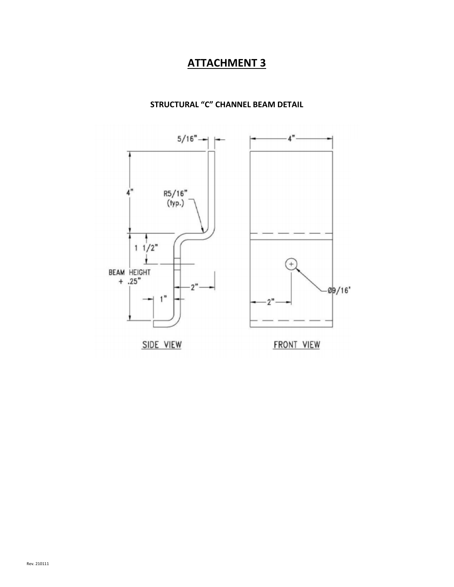

### **STRUCTURAL "C" CHANNEL BEAM DETAIL**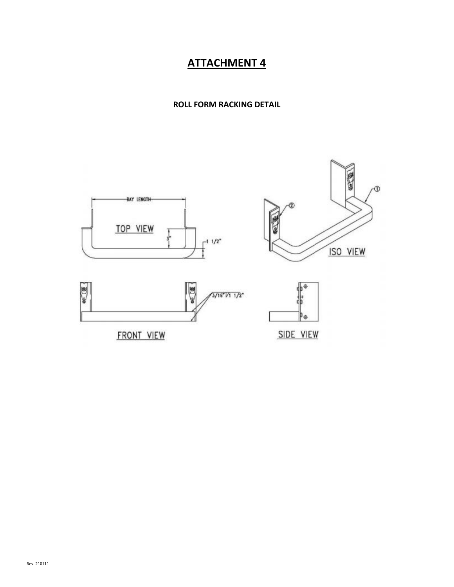**ROLL FORM RACKING DETAIL**